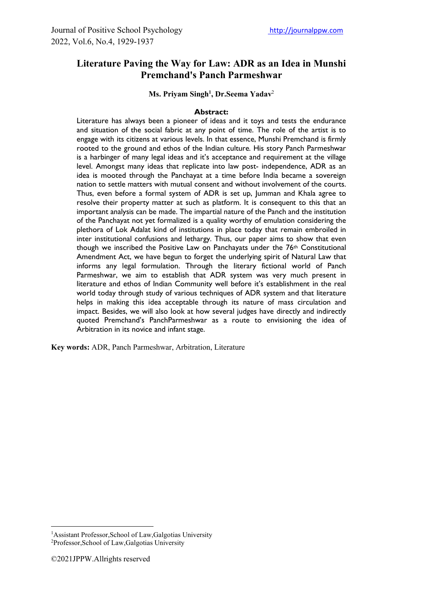# **Literature Paving the Way for Law: ADR as an Idea in Munshi Premchand's Panch Parmeshwar**

**Ms. Priyam Singh1 , Dr.Seema Yadav**<sup>2</sup>

#### **Abstract:**

Literature has always been a pioneer of ideas and it toys and tests the endurance and situation of the social fabric at any point of time. The role of the artist is to engage with its citizens at various levels. In that essence, Munshi Premchand is firmly rooted to the ground and ethos of the Indian culture. His story Panch Parmeshwar is a harbinger of many legal ideas and it's acceptance and requirement at the village level. Amongst many ideas that replicate into law post- independence, ADR as an idea is mooted through the Panchayat at a time before India became a sovereign nation to settle matters with mutual consent and without involvement of the courts. Thus, even before a formal system of ADR is set up, Jumman and Khala agree to resolve their property matter at such as platform. It is consequent to this that an important analysis can be made. The impartial nature of the Panch and the institution of the Panchayat not yet formalized is a quality worthy of emulation considering the plethora of Lok Adalat kind of institutions in place today that remain embroiled in inter institutional confusions and lethargy. Thus, our paper aims to show that even though we inscribed the Positive Law on Panchayats under the 76<sup>th</sup> Constitutional Amendment Act, we have begun to forget the underlying spirit of Natural Law that informs any legal formulation. Through the literary fictional world of Panch Parmeshwar, we aim to establish that ADR system was very much present in literature and ethos of Indian Community well before it's establishment in the real world today through study of various techniques of ADR system and that literature helps in making this idea acceptable through its nature of mass circulation and impact. Besides, we will also look at how several judges have directly and indirectly quoted Premchand's PanchParmeshwar as a route to envisioning the idea of Arbitration in its novice and infant stage.

**Key words:** ADR, Panch Parmeshwar, Arbitration, Literature

<sup>&</sup>lt;sup>1</sup>Assistant Professor, School of Law, Galgotias University

<sup>2</sup> Professor,School of Law,Galgotias University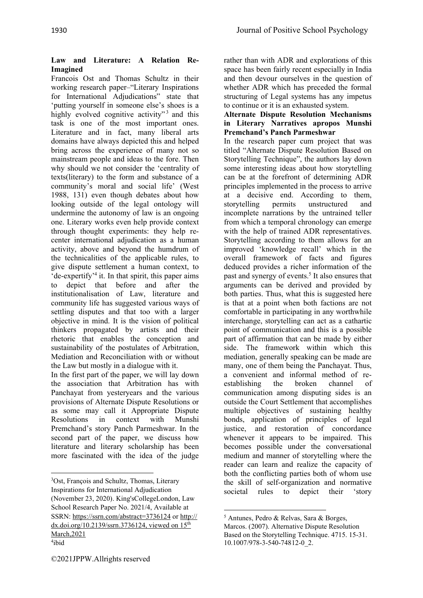# **Law and Literature: A Relation Re-Imagined**

Francois Ost and Thomas Schultz in their working research paper–"Literary Inspirations for International Adjudications" state that 'putting yourself in someone else's shoes is a highly evolved cognitive activity"<sup>3</sup> and this task is one of the most important ones. Literature and in fact, many liberal arts domains have always depicted this and helped bring across the experience of many not so mainstream people and ideas to the fore. Then why should we not consider the 'centrality of texts(literary) to the form and substance of a community's moral and social life' (West 1988, 131) even though debates about how looking outside of the legal ontology will undermine the autonomy of law is an ongoing one. Literary works even help provide context through thought experiments: they help recenter international adjudication as a human activity, above and beyond the humdrum of the technicalities of the applicable rules, to give dispute settlement a human context, to 'de-expertify'4 it. In that spirit, this paper aims to depict that before and after the institutionalisation of Law, literature and community life has suggested various ways of settling disputes and that too with a larger objective in mind. It is the vision of political thinkers propagated by artists and their rhetoric that enables the conception and sustainability of the postulates of Arbitration, Mediation and Reconciliation with or without the Law but mostly in a dialogue with it.

In the first part of the paper, we will lay down the association that Arbitration has with Panchayat from yesteryears and the various provisions of Alternate Dispute Resolutions or as some may call it Appropriate Dispute Resolutions in context with Munshi Premchand's story Panch Parmeshwar. In the second part of the paper, we discuss how literature and literary scholarship has been more fascinated with the idea of the judge rather than with ADR and explorations of this space has been fairly recent especially in India and then devour ourselves in the question of whether ADR which has preceded the formal structuring of Legal systems has any impetus to continue or it is an exhausted system.

#### **Alternate Dispute Resolution Mechanisms in Literary Narratives apropos Munshi Premchand's Panch Parmeshwar**

In the research paper cum project that was titled "Alternate Dispute Resolution Based on Storytelling Technique", the authors lay down some interesting ideas about how storytelling can be at the forefront of determining ADR principles implemented in the process to arrive at a decisive end. According to them, storytelling permits unstructured and incomplete narrations by the untrained teller from which a temporal chronology can emerge with the help of trained ADR representatives. Storytelling according to them allows for an improved 'knowledge recall' which in the overall framework of facts and figures deduced provides a richer information of the past and synergy of events.<sup>5</sup> It also ensures that arguments can be derived and provided by both parties. Thus, what this is suggested here is that at a point when both factions are not comfortable in participating in any worthwhile interchange, storytelling can act as a cathartic point of communication and this is a possible part of affirmation that can be made by either side. The framework within which this mediation, generally speaking can be made are many, one of them being the Panchayat. Thus, a convenient and informal method of reestablishing the broken channel of communication among disputing sides is an outside the Court Settlement that accomplishes multiple objectives of sustaining healthy bonds, application of principles of legal justice, and restoration of concordance whenever it appears to be impaired. This becomes possible under the conversational medium and manner of storytelling where the reader can learn and realize the capacity of both the conflicting parties both of whom use the skill of self-organization and normative societal rules to depict their 'story

<sup>3</sup> Ost, François and Schultz, Thomas, Literary Inspirations for International Adjudication (November 23, 2020). King'sCollegeLondon, Law School Research Paper No. 2021/4, Available at SSRN: [https://ssrn.com/abstract=3736124 o](https://ssrn.com/abstract=3736124)r [http://](https://dx.doi.org/10.2139/ssrn.3736124) [dx.doi.org/10.2139/ssrn.3736124,](https://dx.doi.org/10.2139/ssrn.3736124) viewed on 15<sup>th</sup> March,2021

<sup>4</sup> ibid

<sup>5</sup> Antunes, Pedro & Relvas, Sara & Borges, Marcos. (2007). Alternative Dispute Resolution Based on the Storytelling Technique. 4715. 15-31. 10.1007/978-3-540-74812-0\_2.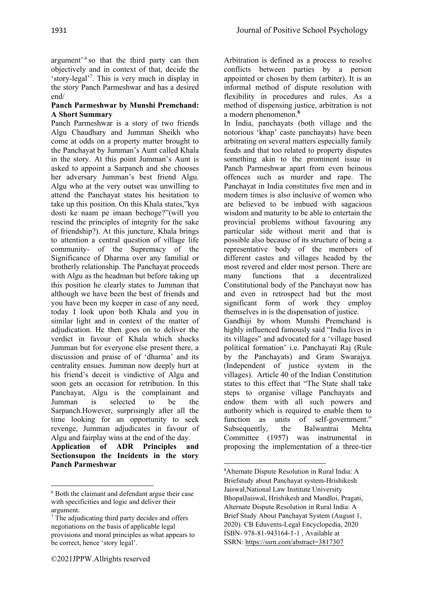argument'<sup>6</sup> so that the third party can then objectively and in context of that, decide the 'story-legal'7 . This is very much in display in the story Panch Parmeshwar and has a desired end/

## **Panch Parmeshwar by Munshi Premchand: A Short Summary**

Panch Parmeshwar is a story of two friends Algu Chaudhary and Jumman Sheikh who come at odds on a property matter brought to the Panchayat by Jumman's Aunt called Khala in the story. At this point Jumman's Aunt is asked to appoint a Sarpanch and she chooses her adversary Jumman's best friend Algu. Algu who at the very outset was unwilling to attend the Panchayat states his hesitation to take up this position. On this Khala states,"kya dosti ke naam pe imaan bechoge?"(will you rescind the principles of integrity for the sake of friendship?). At this juncture, Khala brings to attention a central question of village life community- of the Supremacy of the Significance of Dharma over any familial or brotherly relationship. The Panchayat proceeds with Algu as the headman but before taking up this position he clearly states to Jumman that although we have been the best of friends and you have been my keeper in case of any need, today I look upon both Khala and you in similar light and in context of the matter of adjudication. He then goes on to deliver the verdict in favour of Khala which shocks Jumman but for everyone else present there, a discussion and praise of of 'dharma' and its centrality ensues. Jumman now deeply hurt at his friend's deceit is vindictive of Algu and soon gets an occasion for retribution. In this Panchayat, Algu is the complainant and Jumman is selected to be the Sarpanch.However, surprisingly after all the time looking for an opportunity to seek revenge, Jumman adjudicates in favour of Algu and fairplay wins at the end of the day. **Application of ADR Principles and** 

**Sectionsupon the Incidents in the story Panch Parmeshwar**

Arbitration is defined as a process to resolve conflicts between parties by a person appointed or chosen by them (arbiter). It is an informal method of dispute resolution with flexibility in procedures and rules. As a method of dispensing justice, arbitration is not a modern phenomenon.**<sup>8</sup>**

In India, panchayats (both village and the notorious 'khap' caste panchayats) have been arbitrating on several matters especially family feuds and that too related to property disputes something akin to the prominent issue in Panch Parmeshwar apart from even heinous offences such as murder and rape. The Panchayat in India constitutes five men and in modern times is also inclusive of women who are believed to be imbued with sagacious wisdom and maturity to be able to entertain the provincial problems without favouring any particular side without merit and that is possible also because of its structure of being a representative body of the members of different castes and villages headed by the most revered and elder most person. There are many functions that a decentralized Constitutional body of the Panchayat now has and even in retrospect had but the most significant form of work they employ themselves in is the dispensation of justice. Gandhiji by whom Munshi Premchand is highly influenced famously said "India lives in its villages" and advocated for a 'village based political formation' i.e. Panchayati Raj (Rule by the Panchayats) and Gram Swarajya. (Independent of justice system in the villages). Article 40 of the Indian Constitution states to this effect that "The State shall take steps to organise village Panchayats and endow them with all such powers and authority which is required to enable them to function as units of self-government." Subsequently, the Balwantrai Mehta Committee (1957) was instrumental in proposing the implementation of a three-tier

<sup>6</sup> Both the claimant and defendant argue their case with specificities and logic and deliver their argument.

<sup>&</sup>lt;sup>7</sup> The adjudicating third party decides and offers negotiations on the basis of applicable legal provisions and moral principles as what appears to be correct, hence 'story legal'.

<sup>8</sup> Alternate Dispute Resolution in Rural India: A Briefstudy about Panchayat system-Hrishikesh Jaiswal,National Law Institute University BhopalJaiswal, Hrishikesh and Mandloi, Pragati, Alternate Dispute Resolution in Rural India: A Brief Study About Panchayat System (August 1, 2020). CB Eduvents-Legal Encyclopedia, 2020 ISBN- 978-81-943164-1-1 , Available at SSRN[: https://ssrn.com/abstract=3817307](https://ssrn.com/abstract=3817307)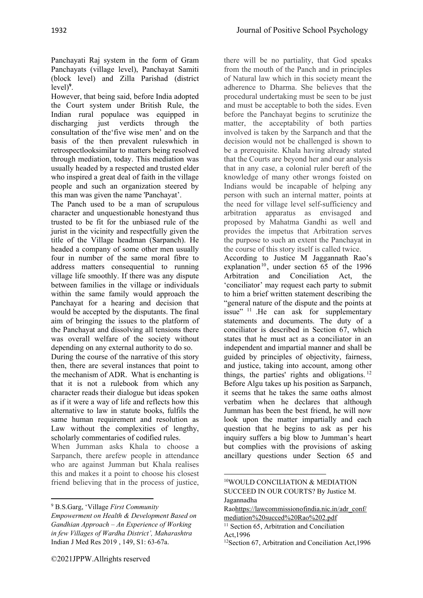Panchayati Raj system in the form of Gram Panchayats (village level), Panchayat Samiti (block level) and Zilla Parishad (district level)**<sup>9</sup>** .

However, that being said, before India adopted the Court system under British Rule, the Indian rural populace was equipped in discharging just verdicts through the consultation of the'five wise men' and on the basis of the then prevalent ruleswhich in retrospectlooksimilar to matters being resolved through mediation, today. This mediation was usually headed by a respected and trusted elder who inspired a great deal of faith in the village people and such an organization steered by this man was given the name 'Panchayat'.

The Panch used to be a man of scrupulous character and unquestionable honestyand thus trusted to be fit for the unbiased rule of the jurist in the vicinity and respectfully given the title of the Village headman (Sarpanch). He headed a company of some other men usually four in number of the same moral fibre to address matters consequential to running village life smoothly. If there was any dispute between families in the village or individuals within the same family would approach the Panchayat for a hearing and decision that would be accepted by the disputants. The final aim of bringing the issues to the platform of the Panchayat and dissolving all tensions there was overall welfare of the society without depending on any external authority to do so.

During the course of the narrative of this story then, there are several instances that point to the mechanism of ADR. What is enchanting is that it is not a rulebook from which any character reads their dialogue but ideas spoken as if it were a way of life and reflects how this alternative to law in statute books, fulfils the same human requirement and resolution as Law without the complexities of lengthy, scholarly commentaries of codified rules.

When Jumman asks Khala to choose a Sarpanch, there arefew people in attendance who are against Jumman but Khala realises this and makes it a point to choose his closest friend believing that in the process of justice,

there will be no partiality, that God speaks from the mouth of the Panch and in principles of Natural law which in this society meant the adherence to Dharma. She believes that the procedural undertaking must be seen to be just and must be acceptable to both the sides. Even before the Panchayat begins to scrutinize the matter, the acceptability of both parties involved is taken by the Sarpanch and that the decision would not be challenged is shown to be a prerequisite. Khala having already stated that the Courts are beyond her and our analysis that in any case, a colonial ruler bereft of the knowledge of many other wrongs foisted on Indians would be incapable of helping any person with such an internal matter, points at the need for village level self-sufficiency and arbitration apparatus as envisaged and proposed by Mahatma Gandhi as well and provides the impetus that Arbitration serves the purpose to such an extent the Panchayat in the course of this story itself is called twice. According to Justice M Jaggannath Rao's

explanation<sup>10</sup>, under section  $65$  of the 1996 Arbitration and Conciliation Act, the 'conciliator' may request each party to submit to him a brief written statement describing the "general nature of the dispute and the points at issue" <sup>11</sup> .He can ask for supplementary statements and documents. The duty of a conciliator is described in Section 67, which states that he must act as a conciliator in an independent and impartial manner and shall be guided by principles of objectivity, fairness, and justice, taking into account, among other things, the parties' rights and obligations.  $12$ Before Algu takes up his position as Sarpanch, it seems that he takes the same oaths almost verbatim when he declares that although Jumman has been the best friend, he will now look upon the matter impartially and each question that he begins to ask as per his inquiry suffers a big blow to Jumman's heart but complies with the provisions of asking ancillary questions under Section 65 and

<sup>9</sup> B.S.Garg, 'Village *First Community* 

*Empowerment on Health & Development Based on Gandhian Approach – An Experience of Working in few Villages of Wardha District', Maharashtra* Indian J Med Res 2019 , 149, S1: 63-67a.

<sup>10</sup>WOULD CONCILIATION & MEDIATION SUCCEED IN OUR COURTS? By Justice M. Jagannadha

Ra[ohttps://lawcommissionofindia.nic.in/adr\\_conf/](https://lawcommissionofindia.nic.in/adr_conf/mediation%20succed%20Rao%202.pdf) [mediation%20succed%20Rao%202.pdf](https://lawcommissionofindia.nic.in/adr_conf/mediation%20succed%20Rao%202.pdf)

<sup>&</sup>lt;sup>11</sup> Section 65, Arbitration and Conciliation

Act,1996

<sup>&</sup>lt;sup>12</sup>Section 67, Arbitration and Conciliation Act, 1996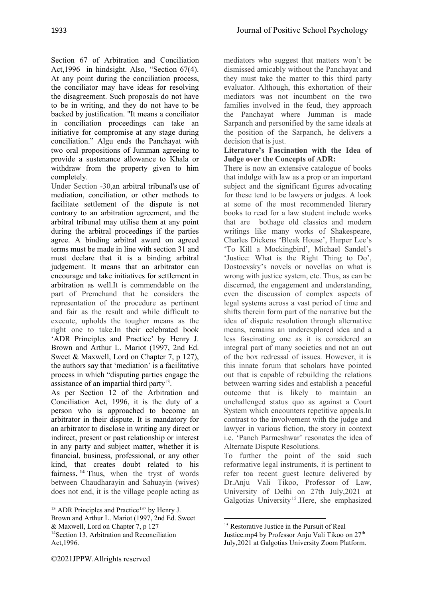Section 67 of Arbitration and Conciliation Act,1996 in hindsight. Also, "Section 67(4). At any point during the conciliation process, the conciliator may have ideas for resolving the disagreement. Such proposals do not have to be in writing, and they do not have to be backed by justification. "It means a conciliator in conciliation proceedings can take an initiative for compromise at any stage during conciliation." Algu ends the Panchayat with two oral propositions of Jumman agreeing to provide a sustenance allowance to Khala or withdraw from the property given to him completely.

Under Section -30,an arbitral tribunal's use of mediation, conciliation, or other methods to facilitate settlement of the dispute is not contrary to an arbitration agreement, and the arbitral tribunal may utilise them at any point during the arbitral proceedings if the parties agree. A binding arbitral award on agreed terms must be made in line with section 31 and must declare that it is a binding arbitral judgement. It means that an arbitrator can encourage and take initiatives for settlement in arbitration as well.It is commendable on the part of Premchand that he considers the representation of the procedure as pertinent and fair as the result and while difficult to execute, upholds the tougher means as the right one to take.In their celebrated book 'ADR Principles and Practice' by Henry J. Brown and Arthur L. Mariot (1997, 2nd Ed. Sweet & Maxwell, Lord on Chapter 7, p 127), the authors say that 'mediation' is a facilitative process in which "disputing parties engage the assistance of an impartial third party<sup>13</sup>.

As per Section 12 of the Arbitration and Conciliation Act, 1996, it is the duty of a person who is approached to become an arbitrator in their dispute. It is mandatory for an arbitrator to disclose in writing any direct or indirect, present or past relationship or interest in any party and subject matter, whether it is financial, business, professional, or any other kind, that creates doubt related to his fairness**. <sup>14</sup>** Thus, when the tryst of words between Chaudharayin and Sahuayin (wives) does not end, it is the village people acting as mediators who suggest that matters won't be dismissed amicably without the Panchayat and they must take the matter to this third party evaluator. Although, this exhortation of their mediators was not incumbent on the two families involved in the feud, they approach the Panchayat where Jumman is made Sarpanch and personified by the same ideals at the position of the Sarpanch, he delivers a decision that is just.

## **Literature's Fascination with the Idea of Judge over the Concepts of ADR:**

There is now an extensive catalogue of books that indulge with law as a prop or an important subject and the significant figures advocating for these tend to be lawyers or judges. A look at some of the most recommended literary books to read for a law student include works that are bothage old classics and modern writings like many works of Shakespeare, Charles Dickens 'Bleak House', Harper Lee's 'To Kill a Mockingbird', Michael Sandel's 'Justice: What is the Right Thing to Do', Dostoevsky's novels or novellas on what is wrong with justice system, etc. Thus, as can be discerned, the engagement and understanding, even the discussion of complex aspects of legal systems across a vast period of time and shifts therein form part of the narrative but the idea of dispute resolution through alternative means, remains an underexplored idea and a less fascinating one as it is considered an integral part of many societies and not an out of the box redressal of issues. However, it is this innate forum that scholars have pointed out that is capable of rebuilding the relations between warring sides and establish a peaceful outcome that is likely to maintain an unchallenged status quo as against a Court System which encounters repetitive appeals.In contrast to the involvement with the judge and lawyer in various fiction, the story in context i.e. 'Panch Parmeshwar' resonates the idea of Alternate Dispute Resolutions.

To further the point of the said such reformative legal instruments, it is pertinent to refer toa recent guest lecture delivered by Dr.Anju Vali Tikoo, Professor of Law, University of Delhi on 27th July,2021 at Galgotias University<sup>15</sup>.Here, she emphasized

<sup>&</sup>lt;sup>13</sup> ADR Principles and Practice<sup>13</sup> by Henry J. Brown and Arthur L. Mariot (1997, 2nd Ed. Sweet & Maxwell, Lord on Chapter 7, p 127 <sup>14</sup>Section 13, Arbitration and Reconciliation Act,1996.

<sup>&</sup>lt;sup>15</sup> Restorative Justice in the Pursuit of Real

Justice.mp4 by Professor Anju Vali Tikoo on 27<sup>th</sup> July,2021 at Galgotias University Zoom Platform.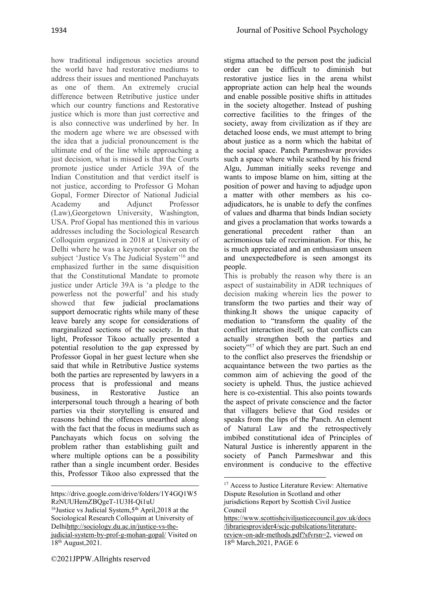how traditional indigenous societies around the world have had restorative mediums to address their issues and mentioned Panchayats as one of them. An extremely crucial difference between Retributive justice under which our country functions and Restorative justice which is more than just corrective and is also connective was underlined by her. In the modern age where we are obsessed with the idea that a judicial pronouncement is the ultimate end of the line while approaching a just decision, what is missed is that the Courts promote justice under Article 39A of the Indian Constitution and that verdict itself is not justice, according to Professor G Mohan Gopal, Former Director of National Judicial Academy and Adjunct Professor (Law),Georgetown University, Washington, USA. Prof Gopal has mentioned this in various addresses including the Sociological Research Colloquim organized in 2018 at University of Delhi where he was a keynoter speaker on the subject 'Justice Vs The Judicial System'16 and emphasized further in the same disquisition that the Constitutional Mandate to promote justice under Article 39A is 'a pledge to the powerless not the powerful' and his study showed that few judicial proclamations support democratic rights while many of these leave barely any scope for considerations of marginalized sections of the society. In that light, Professor Tikoo actually presented a potential resolution to the gap expressed by Professor Gopal in her guest lecture when she said that while in Retributive Justice systems both the parties are represented by lawyers in a process that is professional and means business, in Restorative Justice interpersonal touch through a hearing of both parties via their storytelling is ensured and reasons behind the offences unearthed along with the fact that the focus in mediums such as Panchayats which focus on solving the problem rather than establishing guilt and where multiple options can be a possibility rather than a single incumbent order. Besides this, Professor Tikoo also expressed that the stigma attached to the person post the judicial order can be difficult to diminish but restorative justice lies in the arena whilst appropriate action can help heal the wounds and enable possible positive shifts in attitudes in the society altogether. Instead of pushing corrective facilities to the fringes of the society, away from civilization as if they are detached loose ends, we must attempt to bring about justice as a norm which the habitat of the social space. Panch Parmeshwar provides such a space where while scathed by his friend Algu, Jumman initially seeks revenge and wants to impose blame on him, sitting at the position of power and having to adjudge upon a matter with other members as his coadjudicators, he is unable to defy the confines of values and dharma that binds Indian society and gives a proclamation that works towards a generational precedent rather than an acrimonious tale of recrimination. For this, he is much appreciated and an enthusiasm unseen and unexpectedbefore is seen amongst its people.

This is probably the reason why there is an aspect of sustainability in ADR techniques of decision making wherein lies the power to transform the two parties and their way of thinking.It shows the unique capacity of mediation to "transform the quality of the conflict interaction itself, so that conflicts can actually strengthen both the parties and society"<sup>17</sup> of which they are part. Such an end to the conflict also preserves the friendship or acquaintance between the two parties as the common aim of achieving the good of the society is upheld. Thus, the justice achieved here is co-existential. This also points towards the aspect of private conscience and the factor that villagers believe that God resides or speaks from the lips of the Panch. An element of Natural Law and the retrospectively imbibed constitutional idea of Principles of Natural Justice is inherently apparent in the society of Panch Parmeshwar and this environment is conducive to the effective

https://drive.google.com/drive/folders/1Y4GQ1W5 RzNUUHemZBQgeT-1U3H-Qi1uU

<sup>&</sup>lt;sup>16</sup>Justice vs Judicial System, 5<sup>th</sup> April, 2018 at the Sociological Research Colloquim at University of Delh[ihttp://sociology.du.ac.in/justice-vs-the](http://sociology.du.ac.in/justice-vs-the-judicial-system-by-prof-g-mohan-gopal/)[judicial-system-by-prof-g-mohan-gopal/](http://sociology.du.ac.in/justice-vs-the-judicial-system-by-prof-g-mohan-gopal/) Visited on 18th August,2021.

<sup>&</sup>lt;sup>17</sup> Access to Justice Literature Review: Alternative Dispute Resolution in Scotland and other jurisdictions Report by Scottish Civil Justice Council

[https://www.scottishciviljusticecouncil.gov.uk/docs](https://www.scottishciviljusticecouncil.gov.uk/docs/librariesprovider4/scjc-pubilcations/literature-review-on-adr-methods.pdf?sfvrsn=2) [/librariesprovider4/scjc-pubilcations/literature](https://www.scottishciviljusticecouncil.gov.uk/docs/librariesprovider4/scjc-pubilcations/literature-review-on-adr-methods.pdf?sfvrsn=2)[review-on-adr-methods.pdf?sfvrsn=2,](https://www.scottishciviljusticecouncil.gov.uk/docs/librariesprovider4/scjc-pubilcations/literature-review-on-adr-methods.pdf?sfvrsn=2) viewed on 18th March,2021, PAGE 6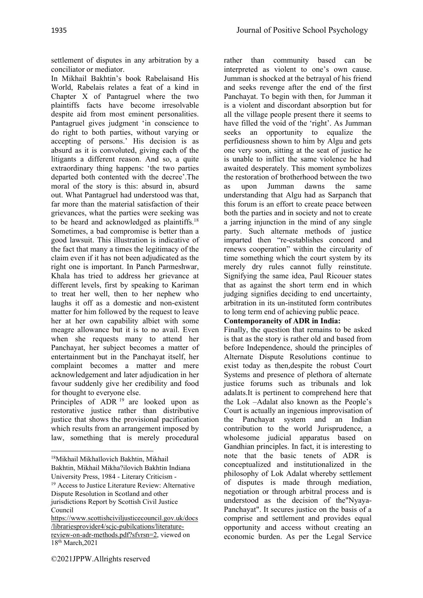settlement of disputes in any arbitration by a conciliator or mediator.

In Mikhail Bakhtin's book Rabelaisand His World, Rabelais relates a feat of a kind in Chapter X of Pantagruel where the two plaintiffs facts have become irresolvable despite aid from most eminent personalities. Pantagruel gives judgment 'in conscience to do right to both parties, without varying or accepting of persons.' His decision is as absurd as it is convoluted, giving each of the litigants a different reason. And so, a quite extraordinary thing happens: 'the two parties departed both contented with the decree'.The moral of the story is this: absurd in, absurd out. What Pantagruel had understood was that, far more than the material satisfaction of their grievances, what the parties were seeking was to be heard and acknowledged as plaintiffs.18 Sometimes, a bad compromise is better than a good lawsuit. This illustration is indicative of the fact that many a times the legitimacy of the claim even if it has not been adjudicated as the right one is important. In Panch Parmeshwar, Khala has tried to address her grievance at different levels, first by speaking to Kariman to treat her well, then to her nephew who laughs it off as a domestic and non-existent matter for him followed by the request to leave her at her own capability albiet with some meagre allowance but it is to no avail. Even when she requests many to attend her Panchayat, her subject becomes a matter of entertainment but in the Panchayat itself, her complaint becomes a matter and mere acknowledgement and later adjudication in her favour suddenly give her credibility and food for thought to everyone else.

Principles of ADR <sup>19</sup> are looked upon as restorative justice rather than distributive justice that shows the provisional pacification which results from an arrangement imposed by law, something that is merely procedural

rather than community based can be interpreted as violent to one's own cause. Jumman is shocked at the betrayal of his friend and seeks revenge after the end of the first Panchayat. To begin with then, for Jumman it is a violent and discordant absorption but for all the village people present there it seems to have filled the void of the 'right'. As Jumman seeks an opportunity to equalize the perfidiousness shown to him by Algu and gets one very soon, sitting at the seat of justice he is unable to inflict the same violence he had awaited desperately. This moment symbolizes the restoration of brotherhood between the two as upon Jumman dawns the same understanding that Algu had as Sarpanch that this forum is an effort to create peace between both the parties and in society and not to create a jarring injunction in the mind of any single party. Such alternate methods of justice imparted then "re-establishes concord and renews cooperation" within the circularity of time something which the court system by its merely dry rules cannot fully reinstitute. Signifying the same idea, Paul Ricouer states that as against the short term end in which judging signifies deciding to end uncertainty, arbitration in its un-instituted form contributes to long term end of achieving public peace.

# **Contemporaneity of ADR in India:**

Finally, the question that remains to be asked is that as the story is rather old and based from before Independence, should the principles of Alternate Dispute Resolutions continue to exist today as then,despite the robust Court Systems and presence of plethora of alternate justice forums such as tribunals and lok adalats.It is pertinent to comprehend here that the Lok –Adalat also known as the People's Court is actually an ingenious improvisation of the Panchayat system and an Indian contribution to the world Jurisprudence, a wholesome judicial apparatus based on Gandhian principles. In fact, it is interesting to note that the basic tenets of ADR is conceptualized and institutionalized in the philosophy of Lok Adalat whereby settlement of disputes is made through mediation, negotiation or through arbitral process and is understood as the decision of the"Nyaya-Panchayat". It secures justice on the basis of a comprise and settlement and provides equal opportunity and access without creating an economic burden. As per the Legal Service

<sup>1</sup>[8Mikhail Mikhaĭlovich Bakhtin,](https://www.google.co.in/search?tbo=p&tbm=bks&q=inauthor:%22Mikhail+Mikha%C4%ADlovich+Bakhtin%22) [Mikhail](https://www.google.co.in/search?tbo=p&tbm=bks&q=inauthor:%22Mikhail+Bakhtin%22)  [Bakhtin,](https://www.google.co.in/search?tbo=p&tbm=bks&q=inauthor:%22Mikhail+Bakhtin%22) [Mikhail Mikha?ilovich Bakhtin I](https://www.google.co.in/search?tbo=p&tbm=bks&q=inauthor:%22Mikhail+Mikha%3Filovich+Bakhtin%22)ndiana University Press, 1984 - [Literary Criticism](https://www.google.co.in/search?tbo=p&tbm=bks&q=subject:%22Literary+Criticism%22&source=gbs_ge_summary_r&cad=0) -

<sup>&</sup>lt;sup>19</sup> Access to Justice Literature Review: Alternative Dispute Resolution in Scotland and other jurisdictions Report by Scottish Civil Justice Council

[https://www.scottishciviljusticecouncil.gov.uk/docs](https://www.scottishciviljusticecouncil.gov.uk/docs/librariesprovider4/scjc-pubilcations/literature-review-on-adr-methods.pdf?sfvrsn=2) [/librariesprovider4/scjc-pubilcations/literature](https://www.scottishciviljusticecouncil.gov.uk/docs/librariesprovider4/scjc-pubilcations/literature-review-on-adr-methods.pdf?sfvrsn=2)[review-on-adr-methods.pdf?sfvrsn=2,](https://www.scottishciviljusticecouncil.gov.uk/docs/librariesprovider4/scjc-pubilcations/literature-review-on-adr-methods.pdf?sfvrsn=2) viewed on 18th March,2021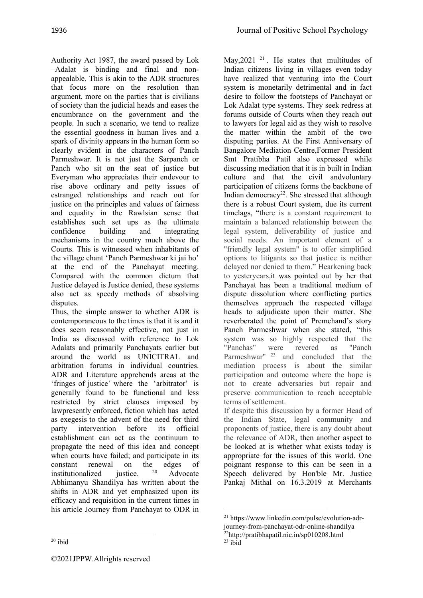Authority Act 1987, the award passed by Lok –Adalat is binding and final and nonappealable. This is akin to the ADR structures that focus more on the resolution than argument, more on the parties that is civilians of society than the judicial heads and eases the encumbrance on the government and the people. In such a scenario, we tend to realize the essential goodness in human lives and a spark of divinity appears in the human form so clearly evident in the characters of Panch Parmeshwar. It is not just the Sarpanch or Panch who sit on the seat of justice but Everyman who appreciates their endevour to rise above ordinary and petty issues of estranged relationships and reach out for justice on the principles and values of fairness and equality in the Rawlsian sense that establishes such set ups as the ultimate confidence building and integrating mechanisms in the country much above the Courts. This is witnessed when inhabitants of the village chant 'Panch Parmeshwar ki jai ho' at the end of the Panchayat meeting. Compared with the common dictum that Justice delayed is Justice denied, these systems also act as speedy methods of absolving disputes.

Thus, the simple answer to whether ADR is contemporaneous to the times is that it is and it does seem reasonably effective, not just in India as discussed with reference to Lok Adalats and primarily Panchayats earlier but around the world as UNICITRAL and arbitration forums in individual countries. ADR and Literature apprehends areas at the 'fringes of justice' where the 'arbitrator' is generally found to be functional and less restricted by strict clauses imposed by lawpresently enforced, fiction which has acted as exegesis to the advent of the need for third party intervention before its official establishment can act as the continuum to propagate the need of this idea and concept when courts have failed; and participate in its constant renewal on the edges of<br>institutionalized institution  $e^{20}$  Advocate institutionalized justice. 20 Advocate Abhimanyu Shandilya has written about the shifts in ADR and yet emphasized upon its efficacy and requisition in the current times in his article Journey from Panchayat to ODR in

May, 2021<sup>21</sup>. He states that multitudes of Indian citizens living in villages even today have realized that venturing into the Court system is monetarily detrimental and in fact desire to follow the footsteps of Panchayat or Lok Adalat type systems. They seek redress at forums outside of Courts when they reach out to lawyers for legal aid as they wish to resolve the matter within the ambit of the two disputing parties. At the First Anniversary of Bangalore Mediation Centre,Former President Smt Pratibha Patil also expressed while discussing mediation that it is in built in Indian culture and that the civil andvoluntary participation of citizens forms the backbone of Indian democracy<sup>22</sup>. She stressed that although there is a robust Court system, due its current timelags, "there is a constant requirement to maintain a balanced relationship between the legal system, deliverability of justice and social needs. An important element of a "friendly legal system" is to offer simplified options to litigants so that justice is neither delayed nor denied to them." Hearkening back to yesteryears,it was pointed out by her that Panchayat has been a traditional medium of dispute dissolution where conflicting parties themselves approach the respected village heads to adjudicate upon their matter. She reverberated the point of Premchand's story Panch Parmeshwar when she stated, "this system was so highly respected that the "Panchas" were revered as "Panch Parmeshwar"<sup>23</sup> and concluded that the mediation process is about the similar participation and outcome where the hope is not to create adversaries but repair and preserve communication to reach acceptable terms of settlement.

If despite this discussion by a former Head of the Indian State, legal community and proponents of justice, there is any doubt about the relevance of ADR, then another aspect to be looked at is whether what exists today is appropriate for the issues of this world. One poignant response to this can be seen in a Speech delivered by Hon'ble Mr. Justice Pankaj Mithal on 16.3.2019 at Merchants

 $20$  ibid

<sup>21</sup> https://www.linkedin.com/pulse/evolution-adrjourney-from-panchayat-odr-online-shandilya 22http://pratibhapatil.nic.in/sp010208.html  $^{23}$  ibid